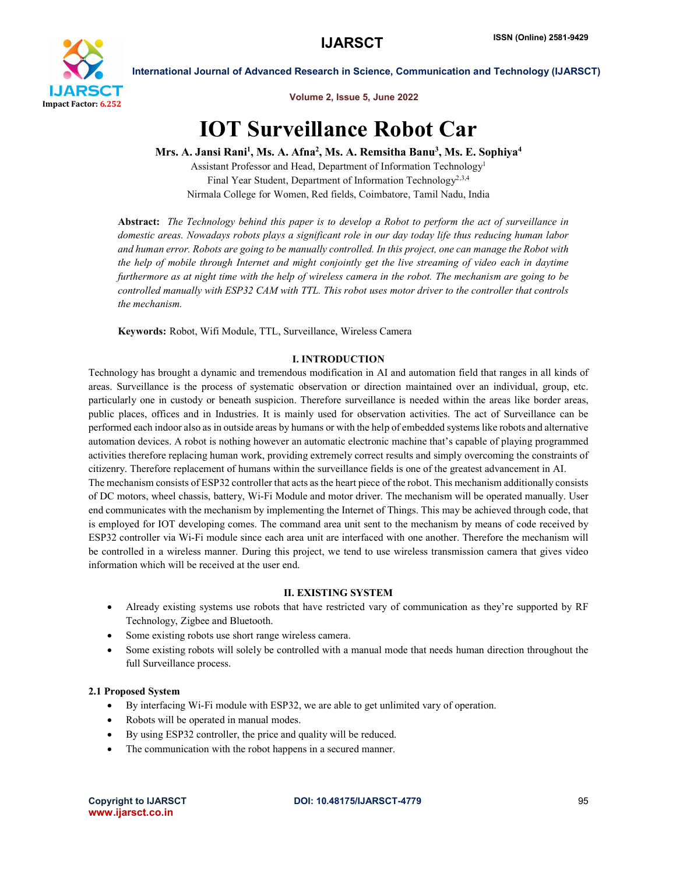

Volume 2, Issue 5, June 2022

# IOT Surveillance Robot Car

Mrs. A. Jansi Rani<sup>1</sup>, Ms. A. Afna<sup>2</sup>, Ms. A. Remsitha Banu<sup>3</sup>, Ms. E. Sophiya<sup>4</sup>

Assistant Professor and Head, Department of Information Technology1 Final Year Student, Department of Information Technology2,3,4 Nirmala College for Women, Red fields, Coimbatore, Tamil Nadu, India

Abstract: *The Technology behind this paper is to develop a Robot to perform the act of surveillance in domestic areas. Nowadays robots plays a significant role in our day today life thus reducing human labor and human error. Robots are going to be manually controlled. In this project, one can manage the Robot with the help of mobile through Internet and might conjointly get the live streaming of video each in daytime furthermore as at night time with the help of wireless camera in the robot. The mechanism are going to be controlled manually with ESP32 CAM with TTL. This robot uses motor driver to the controller that controls the mechanism.*

Keywords: Robot, Wifi Module, TTL, Surveillance, Wireless Camera

### I. INTRODUCTION

Technology has brought a dynamic and tremendous modification in AI and automation field that ranges in all kinds of areas. Surveillance is the process of systematic observation or direction maintained over an individual, group, etc. particularly one in custody or beneath suspicion. Therefore surveillance is needed within the areas like border areas, public places, offices and in Industries. It is mainly used for observation activities. The act of Surveillance can be performed each indoor also as in outside areas by humans or with the help of embedded systems like robots and alternative automation devices. A robot is nothing however an automatic electronic machine that's capable of playing programmed activities therefore replacing human work, providing extremely correct results and simply overcoming the constraints of citizenry. Therefore replacement of humans within the surveillance fields is one of the greatest advancement in AI. The mechanism consists of ESP32 controller that acts as the heart piece of the robot. This mechanism additionally consists of DC motors, wheel chassis, battery, Wi-Fi Module and motor driver. The mechanism will be operated manually. User end communicates with the mechanism by implementing the Internet of Things. This may be achieved through code, that is employed for IOT developing comes. The command area unit sent to the mechanism by means of code received by ESP32 controller via Wi-Fi module since each area unit are interfaced with one another. Therefore the mechanism will be controlled in a wireless manner. During this project, we tend to use wireless transmission camera that gives video

### II. EXISTING SYSTEM

- Already existing systems use robots that have restricted vary of communication as they're supported by RF Technology, Zigbee and Bluetooth.
- Some existing robots use short range wireless camera.
- Some existing robots will solely be controlled with a manual mode that needs human direction throughout the full Surveillance process.

### 2.1 Proposed System

- By interfacing Wi-Fi module with ESP32, we are able to get unlimited vary of operation.
- Robots will be operated in manual modes.

information which will be received at the user end.

- By using ESP32 controller, the price and quality will be reduced.
- The communication with the robot happens in a secured manner.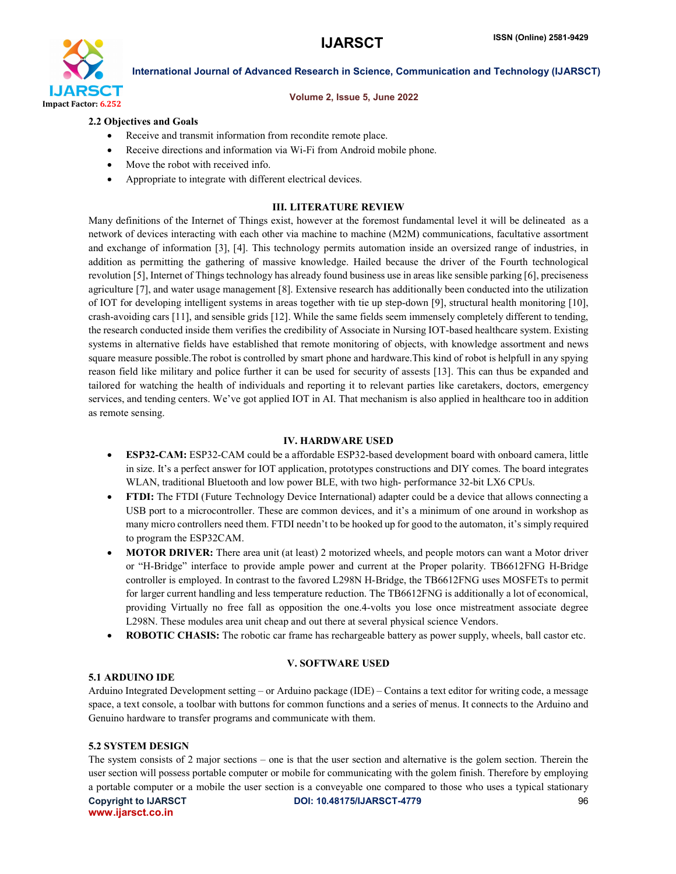

### Volume 2, Issue 5, June 2022

### 2.2 Objectives and Goals

- Receive and transmit information from recondite remote place.
- Receive directions and information via Wi-Fi from Android mobile phone.
- Move the robot with received info.
- Appropriate to integrate with different electrical devices.

### III. LITERATURE REVIEW

Many definitions of the Internet of Things exist, however at the foremost fundamental level it will be delineated as a network of devices interacting with each other via machine to machine (M2M) communications, facultative assortment and exchange of information [3], [4]. This technology permits automation inside an oversized range of industries, in addition as permitting the gathering of massive knowledge. Hailed because the driver of the Fourth technological revolution [5], Internet of Things technology has already found business use in areas like sensible parking [6], preciseness agriculture [7], and water usage management [8]. Extensive research has additionally been conducted into the utilization of IOT for developing intelligent systems in areas together with tie up step-down [9], structural health monitoring [10], crash-avoiding cars [11], and sensible grids [12]. While the same fields seem immensely completely different to tending, the research conducted inside them verifies the credibility of Associate in Nursing IOT-based healthcare system. Existing systems in alternative fields have established that remote monitoring of objects, with knowledge assortment and news square measure possible.The robot is controlled by smart phone and hardware.This kind of robot is helpfull in any spying reason field like military and police further it can be used for security of assests [13]. This can thus be expanded and tailored for watching the health of individuals and reporting it to relevant parties like caretakers, doctors, emergency services, and tending centers. We've got applied IOT in AI. That mechanism is also applied in healthcare too in addition as remote sensing.

### IV. HARDWARE USED

- ESP32-CAM: ESP32-CAM could be a affordable ESP32-based development board with onboard camera, little in size. It's a perfect answer for IOT application, prototypes constructions and DIY comes. The board integrates WLAN, traditional Bluetooth and low power BLE, with two high- performance 32-bit LX6 CPUs.
- FTDI: The FTDI (Future Technology Device International) adapter could be a device that allows connecting a USB port to a microcontroller. These are common devices, and it's a minimum of one around in workshop as many micro controllers need them. FTDI needn't to be hooked up for good to the automaton, it's simply required to program the ESP32CAM.
- MOTOR DRIVER: There area unit (at least) 2 motorized wheels, and people motors can want a Motor driver or "H-Bridge" interface to provide ample power and current at the Proper polarity. TB6612FNG H-Bridge controller is employed. In contrast to the favored L298N H-Bridge, the TB6612FNG uses MOSFETs to permit for larger current handling and less temperature reduction. The TB6612FNG is additionally a lot of economical, providing Virtually no free fall as opposition the one.4-volts you lose once mistreatment associate degree L298N. These modules area unit cheap and out there at several physical science Vendors.
- ROBOTIC CHASIS: The robotic car frame has rechargeable battery as power supply, wheels, ball castor etc.

### V. SOFTWARE USED

### 5.1 ARDUINO IDE

Arduino Integrated Development setting – or Arduino package (IDE) – Contains a text editor for writing code, a message space, a text console, a toolbar with buttons for common functions and a series of menus. It connects to the Arduino and Genuino hardware to transfer programs and communicate with them.

### 5.2 SYSTEM DESIGN

Copyright to IJARSCT **DOI: 10.48175/IJARSCT-4779** 96 The system consists of 2 major sections – one is that the user section and alternative is the golem section. Therein the user section will possess portable computer or mobile for communicating with the golem finish. Therefore by employing a portable computer or a mobile the user section is a conveyable one compared to those who uses a typical stationary

www.ijarsct.co.in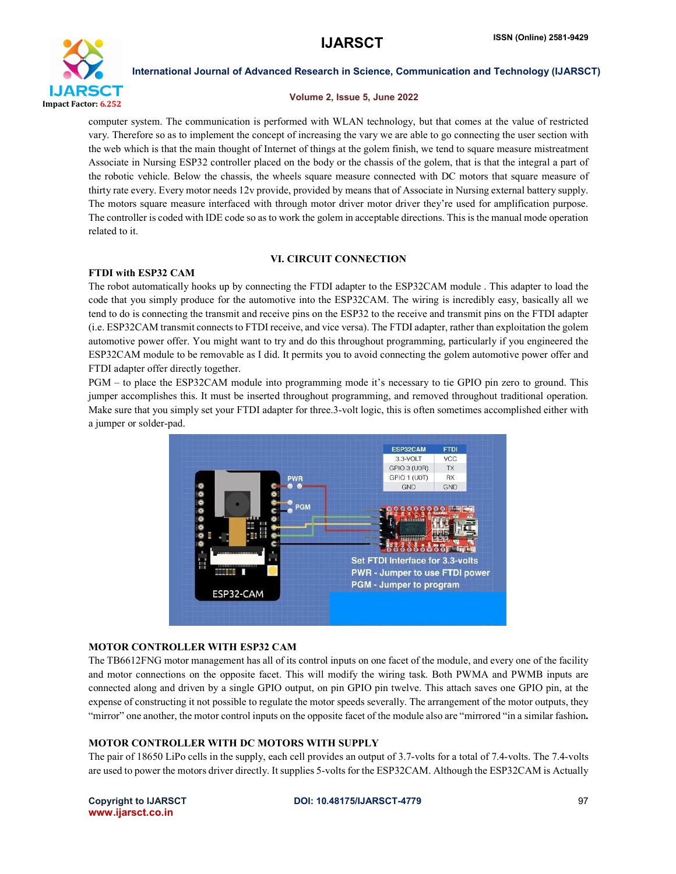

### Volume 2, Issue 5, June 2022

computer system. The communication is performed with WLAN technology, but that comes at the value of restricted vary. Therefore so as to implement the concept of increasing the vary we are able to go connecting the user section with the web which is that the main thought of Internet of things at the golem finish, we tend to square measure mistreatment Associate in Nursing ESP32 controller placed on the body or the chassis of the golem, that is that the integral a part of the robotic vehicle. Below the chassis, the wheels square measure connected with DC motors that square measure of thirty rate every. Every motor needs 12v provide, provided by means that of Associate in Nursing external battery supply. The motors square measure interfaced with through motor driver motor driver they're used for amplification purpose. The controller is coded with IDE code so as to work the golem in acceptable directions. This is the manual mode operation related to it.

### VI. CIRCUIT CONNECTION

### FTDI with ESP32 CAM

The robot automatically hooks up by connecting the FTDI adapter to the ESP32CAM module . This adapter to load the code that you simply produce for the automotive into the ESP32CAM. The wiring is incredibly easy, basically all we tend to do is connecting the transmit and receive pins on the ESP32 to the receive and transmit pins on the FTDI adapter (i.e. ESP32CAM transmit connects to FTDI receive, and vice versa). The FTDI adapter, rather than exploitation the golem automotive power offer. You might want to try and do this throughout programming, particularly if you engineered the ESP32CAM module to be removable as I did. It permits you to avoid connecting the golem automotive power offer and FTDI adapter offer directly together.

PGM – to place the ESP32CAM module into programming mode it's necessary to tie GPIO pin zero to ground. This jumper accomplishes this. It must be inserted throughout programming, and removed throughout traditional operation. Make sure that you simply set your FTDI adapter for three.3-volt logic, this is often sometimes accomplished either with a jumper or solder-pad.



### MOTOR CONTROLLER WITH ESP32 CAM

The TB6612FNG motor management has all of its control inputs on one facet of the module, and every one of the facility and motor connections on the opposite facet. This will modify the wiring task. Both PWMA and PWMB inputs are connected along and driven by a single GPIO output, on pin GPIO pin twelve. This attach saves one GPIO pin, at the expense of constructing it not possible to regulate the motor speeds severally. The arrangement of the motor outputs, they "mirror" one another, the motor control inputs on the opposite facet of the module also are "mirrored "in a similar fashion.

### MOTOR CONTROLLER WITH DC MOTORS WITH SUPPLY

The pair of 18650 LiPo cells in the supply, each cell provides an output of 3.7-volts for a total of 7.4-volts. The 7.4-volts are used to power the motors driver directly. It supplies 5-volts for the ESP32CAM. Although the ESP32CAM is Actually

## www.ijarsct.co.in

### Copyright to IJARSCT **DOI: 10.48175/IJARSCT-4779** 97